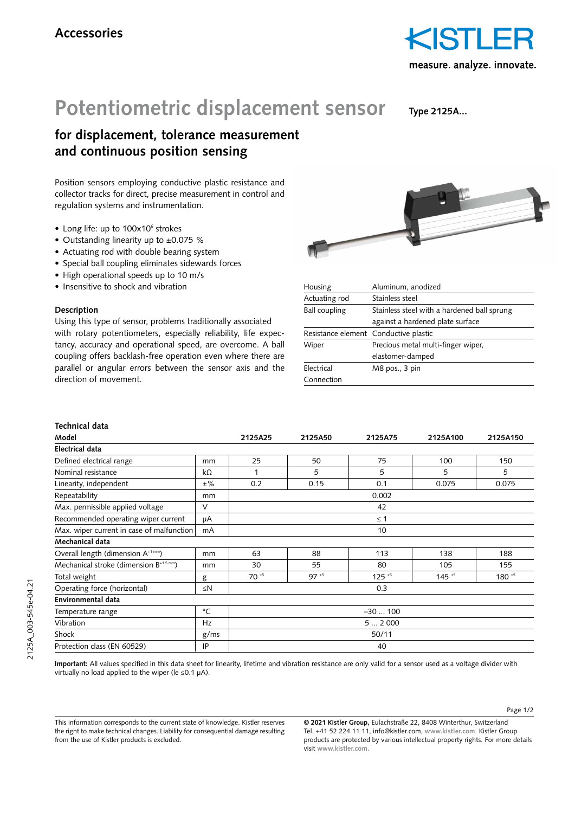

## **Potentiometric displacement sensor**

**Type 2125A...**

### **for displacement, tolerance measurement and continuous position sensing**

Position sensors employing conductive plastic resistance and collector tracks for direct, precise measurement in control and regulation systems and instrumentation.

- Long life: up to 100x10<sup>6</sup> strokes
- Outstanding linearity up to ±0.075 %
- Actuating rod with double bearing system
- Special ball coupling eliminates sidewards forces
- High operational speeds up to 10 m/s
- Insensitive to shock and vibration

### **Description**

Using this type of sensor, problems traditionally associated with rotary potentiometers, especially reliability, life expectancy, accuracy and operational speed, are overcome. A ball coupling offers backlash-free operation even where there are parallel or angular errors between the sensor axis and the direction of movement.



| Housing                               | Aluminum, anodized                          |  |  |
|---------------------------------------|---------------------------------------------|--|--|
| Actuating rod                         | Stainless steel                             |  |  |
| <b>Ball coupling</b>                  | Stainless steel with a hardened ball sprung |  |  |
|                                       | against a hardened plate surface            |  |  |
| Resistance element Conductive plastic |                                             |  |  |
| Wiper                                 | Precious metal multi-finger wiper,          |  |  |
|                                       | elastomer-damped                            |  |  |
| Electrical                            | M8 pos., 3 pin                              |  |  |
| Connection                            |                                             |  |  |

### **Technical data**

| TVVIIIIVAI VALA                                     |           |           |          |                        |                        |            |  |
|-----------------------------------------------------|-----------|-----------|----------|------------------------|------------------------|------------|--|
| Model                                               |           | 2125A25   | 2125A50  | 2125A75                | 2125A100               | 2125A150   |  |
| <b>Electrical data</b>                              |           |           |          |                        |                        |            |  |
| Defined electrical range                            | mm        | 25        | 50       | 75                     | 100                    | 150        |  |
| Nominal resistance                                  | $k\Omega$ | 1         | 5        | 5                      | 5                      | 5          |  |
| Linearity, independent                              | $±\%$     | 0.2       | 0.15     | 0.1                    | 0.075                  | 0.075      |  |
| Repeatability                                       | mm        | 0.002     |          |                        |                        |            |  |
| Max. permissible applied voltage                    | V         | 42        |          |                        |                        |            |  |
| Recommended operating wiper current                 | μA        | $\leq 1$  |          |                        |                        |            |  |
| Max. wiper current in case of malfunction           | mA        | 10        |          |                        |                        |            |  |
| Mechanical data                                     |           |           |          |                        |                        |            |  |
| Overall length (dimension $A^{+1 \, mm}$ )          | mm        | 63        | 88       | 113                    | 138                    | 188        |  |
| Mechanical stroke (dimension B <sup>+1.5 mm</sup> ) | mm        | 30        | 55       | 80                     | 105                    | 155        |  |
| Total weight                                        | g         | $70^{15}$ | $97 * 5$ | $125$ $*$ <sup>5</sup> | $145$ $*$ <sup>5</sup> | $180^{15}$ |  |
| Operating force (horizontal)                        | $\leq N$  | 0.3       |          |                        |                        |            |  |
| Environmental data                                  |           |           |          |                        |                        |            |  |
| Temperature range                                   | °C        | $-30100$  |          |                        |                        |            |  |
| Vibration                                           | Hz        | 52000     |          |                        |                        |            |  |
| Shock                                               | g/ms      | 50/11     |          |                        |                        |            |  |
| Protection class (EN 60529)                         | IP        | 40        |          |                        |                        |            |  |

**Important:** All values specified in this data sheet for linearity, lifetime and vibration resistance are only valid for a sensor used as a voltage divider with virtually no load applied to the wiper (le  $\leq 0.1$  uA).

This information corresponds to the current state of knowledge. Kistler reserves the right to make technical changes. Liability for consequential damage resulting from the use of Kistler products is excluded.

**© 2021 Kistler Group,** Eulachstraße 22, 8408 Winterthur, Switzerland Tel. +41 52 224 11 11, info@kistler.com, **www.kistler.com**. Kistler Group products are protected by various intellectual property rights. For more details visit **www.kistler.com.**

Page 1/2